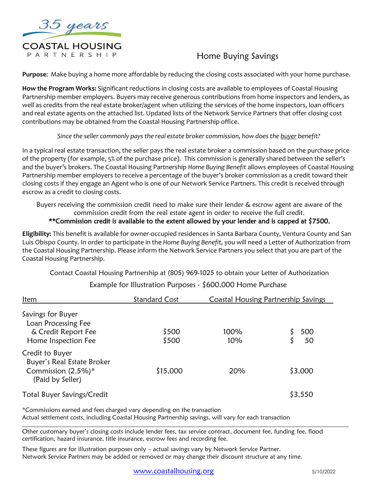

# Home Buying Savings

**Purpose**: Make buying a home more affordable by reducing the closing costs associated with your home purchase.

**How the Program Works:** Significant reductions in closing costs are available to employees of Coastal Housing Partnership member employers. Buyers may receive generous contributions from home inspectors and lenders, as well as credits from the real estate broker/agent when utilizing the services of the home inspectors, loan officers and real estate agents on the attached list. Updated lists of the Network Service Partners that offer closing cost contributions may be obtained from the Coastal Housing Partnership office.

*Since the seller commonly pays the real estate broker commission, how does the buyer benefit?*

In a typical real estate transaction, the seller pays the real estate broker a commission based on the purchase price of the property (for example, 5% of the purchase price). This commission is generally shared between the seller's and the buyer's brokers. The Coastal Housing Partnership *Home Buying Benefit* allows employees of Coastal Housing Partnership member employers to receive a percentage of the buyer's broker commission as a credit toward their closing costs if they engage an Agent who is one of our Network Service Partners. This credit is received through escrow as a credit to closing costs.

Buyers receiving the commission credit need to make sure their lender & escrow agent are aware of the commission credit from the real estate agent in order to receive the full credit.

\*\*Commission credit is available to the extent allowed by your lender and is capped at \$7500.

**Eligibility:** This benefit is available for owner-occupied residences in Santa Barbara County, Ventura County and San Luis Obispo County. In order to participate in the *Home Buying Benefit,* you will need a Letter of Authorization from the Coastal Housing Partnership. Please inform the Network Service Partners you select that you are part of the Coastal Housing Partnership.

Contact Coastal Housing Partnership at (805) 969-1025 to obtain your Letter of Authorization

| Item                                                                                    | Standard Cost  | Coastal Housing Partnership Savings |           |
|-----------------------------------------------------------------------------------------|----------------|-------------------------------------|-----------|
| Savings for Buyer<br>Loan Processing Fee<br>& Credit Report Fee<br>Home Inspection Fee  | \$500<br>\$500 | 100%<br>10%                         | 500<br>50 |
| Credit to Buyer<br>Buyer's Real Estate Broker<br>Commission (2.5%)*<br>(Paid by Seller) | \$15,000       | 20%                                 | \$3,000   |
| Total Buyer Savings/Credit                                                              |                |                                     | \$3,550   |

# Example for Illustration Purposes - \$600,000 Home Purchase

\*Commissions earned and fees charged vary depending on the transaction Actual settlement costs, including Coastal Housing Partnership savings, will vary for each transaction

Other customary buyer's closing costs include lender fees, tax service contract, document fee, funding fee, flood certification, hazard insurance, title insurance, escrow fees and recording fee.

These figures are for illustration purposes only – actual savings vary by Network Service Partner. Network Service Partners may be added or removed or may change their discount structure at any time.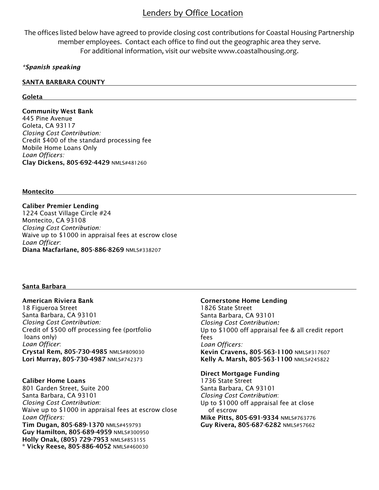# Lenders by Office Location

The offices listed below have agreed to provide closing cost contributions for Coastal Housing Partnership member employees. Contact each office to find out the geographic area they serve. For additional information, visit our website [www.coastalhousing.org.](http://www.coastalhousing.org/)

# *\*Spanish speaking*

## SANTA BARBARA COUNTY

## Goleta

Community West Bank 445 Pine Avenue Goleta, CA 93117 *Closing Cost Contribution:* Credit \$400 of the standard processing fee Mobile Home Loans Only *Loan Officers:* Clay Dickens, 805-692-4429 NMLS#481260

#### Montecito

Caliber Premier Lending 1224 Coast Village Circle #24 Montecito, CA 93108 *Closing Cost Contribution:* Waive up to \$1000 in appraisal fees at escrow close *Loan Officer*: Diana Macfarlane, 805-886-8269 NMLS#338207

## Santa Barbara

American Riviera Bank 18 Figueroa Street Santa Barbara, CA 93101 *Closing Cost Contribution:* Credit of \$500 off processing fee (portfolio loans only) *Loan Officer*: Crystal Rem, 805-730-4985 NMLS#809030 Lori Murray, 805-730-4987 NMLS#742373

Caliber Home Loans 801 Garden Street, Suite 200 Santa Barbara, CA 93101 *Closing Cost Contribution*: Waive up to \$1000 in appraisal fees at escrow close *Loan Officers:* Tim Dugan, 805-689-1370 NMLS#459793 Guy Hamilton, 805-689-4959 NMLS#300950 Holly Onak, (805) 729-7953 NMLS#853155 \* Vicky Reese, 805-886-4052 NMLS#460030

# Cornerstone Home Lending

1826 State Street Santa Barbara, CA 93101 *Closing Cost Contribution:* Up to \$1000 off appraisal fee & all credit report fees *Loan Officers:* Kevin Cravens, 805-563-1100 NMLS#317607 Kelly A. Marsh, 805-563-1100 NMLS#245822

# Direct Mortgage Funding

1736 State Street Santa Barbara, CA 93101 *Closing Cost Contribution*: Up to \$1000 off appraisal fee at close of escrow Mike Pitts, 805-691-9334 NMLS#763776 Guy Rivera, 805-687-6282 NMLS#57662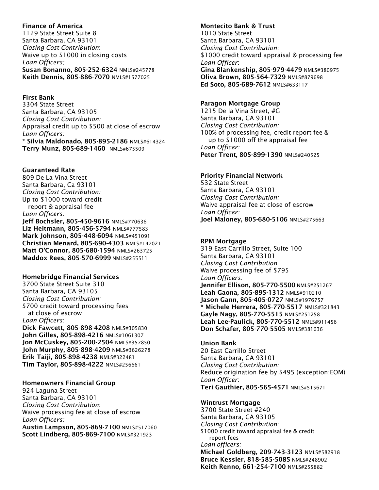# Finance of America

1129 State Street Suite 8 Santa Barbara, CA 93101 *Closing Cost Contribution*: Waive up to \$1000 in closing costs *Loan Officers;* Susan Bonanno, 805-252-6324 NMLS#245778 Keith Dennis, 805-886-7070 NMLS#1577025

First Bank

3304 State Street Santa Barbara, CA 93105 *Closing Cost Contribution:* Appraisal credit up to \$500 at close of escrow *Loan Officers:* \* Silvia Maldonado, 805-895-2186 NMLS#614324 Terry Munz, 805-689-1460 NMLS#675509

# Guaranteed Rate

809 De La Vina Street Santa Barbara, Ca 93101 *Closing Cost Contribution:* Up to \$1000 toward credit report & appraisal fee *Loan Officers:* Jeff Bochsler, 805-450-9616 NMLS#770636 Liz Heitmann, 805-456-5794 NMLS#777583 Mark Johnson, 805-448-6094 NMLS#451091 Christian Menard, 805-690-4303 NMLS#147021 Matt O'Connor, 805-680-1594 NMLS#263725 Maddox Rees, 805-570-6999 NMLS#255511

## Homebridge Financial Services

3700 State Street Suite 310 Santa Barbara, CA 93105 *Closing Cost Contribution:* \$700 credit toward processing fees at close of escrow *Loan Officers*: Dick Fawcett, 805-898-4208 NMLS#305830 John Gilles, 805-898-4216 NMLS#1061307 Jon McCuskey, 805-200-2504 NMLS#357850 John Murphy, 805-898-4209 NMLS#3626278 Erik Taiji, 805-898-4238 NMLS#322481 Tim Taylor, 805-898-4222 NMLS#256661

## Homeowners Financial Group

924 Laguna Street Santa Barbara, CA 93101 *Closing Cost Contribution*: Waive processing fee at close of escrow *Loan Officers:* Austin Lampson, 805-869-7100 NMLS#517060 Scott Lindberg, 805-869-7100 NMLS#321923

# Montecito Bank & Trust 1010 State Street Santa Barbara, CA 93101 *Closing Cost Contribution:* \$1000 credit toward appraisal & processing fee *Loan Officer*: Gina Blankenship, 805-979-4479 NMLS#380975 Oliva Brown, 805-564-7329 NMLS#879698 Ed Soto, 805-689-7612 NMLS#633117

## Paragon Mortgage Group

1215 De la Vina Street, #G Santa Barbara, CA 93101 *Closing Cost Contribution:* 100% of processing fee, credit report fee & up to \$1000 off the appraisal fee *Loan Officer:* Peter Trent, 805-899-1390 NMLS#240525

# Priority Financial Network

532 State Street Santa Barbara, CA 93101 *Closing Cost Contribution:* Waive appraisal fee at close of escrow *Loan Officer:* Joel Maloney, 805-680-5106 NMLS#275663

#### RPM Mortgage

319 East Carrillo Street, Suite 100 Santa Barbara, CA 93101 *Closing Cost Contribution* Waive processing fee of \$795 *Loan Officers:* Jennifer Ellison, 805-770-5500 NMLS#251267 Leah Gaona, 805-895-1312 NMLS#910210 Jason Gann, 805-405-0727 NMLS#1976757 \* Michele Herrera, 805-770-5517 NMLS#321843 Gayle Nagy, 805-770-5515 NMLS#251258 Leah Lee-Paulick, 805-770-5512 NMLS#911456 Don Schafer, 805-770-5505 NMLS#381636

#### Union Bank

20 East Carrillo Street Santa Barbara, CA 93101 *Closing Cost Contribution:* Reduce origination fee by \$495 (exception:EOM) *Loan Officer*: Teri Gauthier, 805-565-4571 NMLS#515671

#### Wintrust Mortgage

3700 State Street #240 Santa Barbara, CA 93105 *Closing Cost Contribution*: \$1000 credit toward appraisal fee & credit report fees *Loan officers:* Michael Goldberg, 209-743-3123 NMLS#582918 Bruce Kessler, 818-585-5085 NMLS#248902 Keith Renno, 661-254-7100 NMLS#255882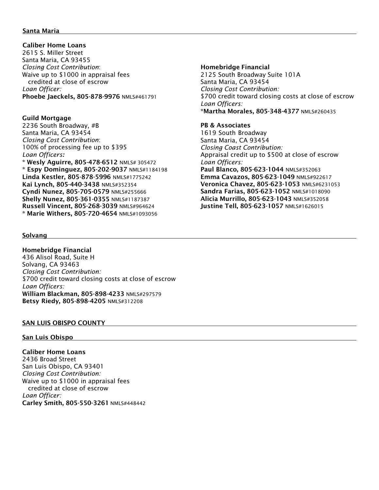# Santa Maria

 Caliber Home Loans 2615 S. Miller Street Santa Maria, CA 93455 *Closing Cost Contribution*: Waive up to \$1000 in appraisal fees credited at close of escrow *Loan Officer:* Phoebe Jaeckels, 805-878-9976 NMLS#461791

# Guild Mortgage

2236 South Broadway, #B Santa Maria, CA 93454 *Closing Cost Contribution*: 100% of processing fee up to \$395 *Loan Officers:* \* Wesly Aguirre, 805-478-6512 NMLS# 305472 \* Espy Dominguez, 805-202-9037 NMLS#1184198 Linda Kestler, 805-878-5996 NMLS#1775242 Kai Lynch, 805-440-3438 NMLS#352354 Cyndi Nunez, 805-705-0579 NMLS#255666 Shelly Nunez, 805-361-0355 NMLS#1187387 Russell Vincent, 805-268-3039 NMLS#964624 \* Marie Withers, 805-720-4654 NMLS#1093056

## Solvang

Homebridge Financial 436 Alisol Road, Suite H Solvang, CA 93463 *Closing Cost Contribution:* \$700 credit toward closing costs at close of escrow *Loan Officers:* William Blackman, 805-898-4233 NMLS#297579 Betsy Riedy, 805-898-4205 NMLS#312208

# SAN LUIS OBISPO COUNTY

# San Luis Obispo

Caliber Home Loans 2436 Broad Street San Luis Obispo, CA 93401 *Closing Cost Contribution:* Waive up to \$1000 in appraisal fees credited at close of escrow *Loan Officer:* Carley Smith, 805-550-3261 NMLS#448442

# Homebridge Financial

2125 South Broadway Suite 101A Santa Maria, CA 93454 *Closing Cost Contribution:* \$700 credit toward closing costs at close of escrow *Loan Officers:* \*Martha Morales, 805-348-4377 NMLS#260435

# PB & Associates

1619 South Broadway Santa Maria, CA 93454 *Closing Coast Contribution:* Appraisal credit up to \$500 at close of escrow *Loan Officers:* Paul Blanco, 805-623-1044 NMLS#352063 Emma Cavazos, 805-623-1049 NMLS#922617 Veronica Chavez, 805-623-1053 NMLS#6231053 Sandra Farias, 805-623-1052 NMLS#1018090 Alicia Murrillo, 805-623-1043 NMLS#352058 Justine Tell, 805-623-1057 NMLS#1626015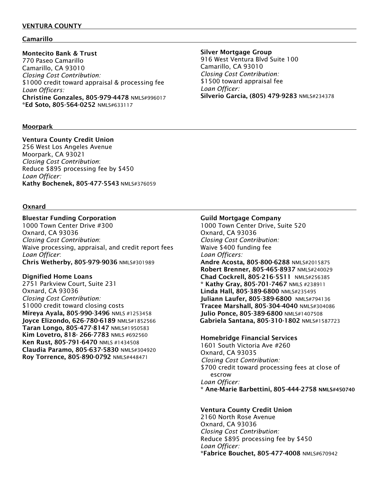# VENTURA COUNTY

# Camarillo

## Montecito Bank & Trust

770 Paseo Camarillo Camarillo, CA 93010 *Closing Cost Contribution:* \$1000 credit toward appraisal & processing fee *Loan Officers:* Christine Gonzales, 805-979-4478 NMLS#996017 \*Ed Soto, 805-564-0252 NMLS#633117

## Moorpark

# Ventura County Credit Union

256 West Los Angeles Avenue Moorpark, CA 93021 *Closing Cost Contribution*: Reduce \$895 processing fee by \$450 *Loan Officer:* Kathy Bochenek, 805-477-5543 NMLS#376059

#### Oxnard

#### Bluestar Funding Corporation

1000 Town Center Drive #300 Oxnard, CA 93036 *Closing Cost Contribution*: Waive processing, appraisal, and credit report fees *Loan Officer*: Chris Wetherby, 805-979-9036 NMLS#301989

#### Dignified Home Loans

2751 Parkview Court, Suite 231 Oxnard, CA 93036 *Closing Cost Contribution:* \$1000 credit toward closing costs Mireya Ayala, 805-990-3496 NMLS #1253458 Joyce Elizondo, 626-780-6189 NMLS#1852566 Taran Longo, 805-477-8147 NMLS#1950583 Kim Lovetro, 818- 266-7783 NMLS #692560 Ken Rust, 805-791-6470 NMLS #1434508 Claudia Paramo, 805-637-5830 NMLS#304920 Roy Torrence, 805-890-0792 NMLS#448471

#### Silver Mortgage Group

916 West Ventura Blvd Suite 100 Camarillo, CA 93010 *Closing Cost Contribution:* \$1500 toward appraisal fee *Loan Officer:* Silverio Garcia, (805) 479-9283 NMLS#234378

#### Guild Mortgage Company

1000 Town Center Drive, Suite 520 Oxnard, CA 93036 *Closing Cost Contribution:* Waive \$400 funding fee *Loan Officers:* Andre Acosta, 805-800-6288 NMLS#2015875 Robert Brenner, 805-465-8937 NMLS#240029 Chad Cockrell, 805-216-5511 NMLS#256385 \* Kathy Gray, 805-701-7467 NMLS #238911 Linda Hall, 805-389-6800 NMLS#235495 Juliann Laufer, 805-389-6800 NMLS#794136 Tracee Marshall, 805-304-4040 NMLS#304086 Julio Ponce, 805-389-6800 NMLS#1407508 Gabriela Santana, 805-310-1802 NMLS#1587723

## Homebridge Financial Services

1601 South Victoria Ave #260 Oxnard, CA 93035 *Closing Cost Contribution:* \$700 credit toward processing fees at close of escrow *Loan Officer:*  \* Ane-Marie Barbettini, 805-444-2758 NMLS#450740

## Ventura County Credit Union

2160 North Rose Avenue Oxnard, CA 93036 *Closing Cost Contribution:*  Reduce \$895 processing fee by \$450 *Loan Officer:* \*Fabrice Bouchet, 805-477-4008 NMLS#670942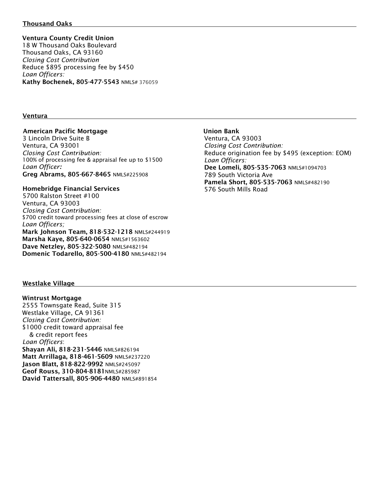# Thousand Oaks

# Ventura County Credit Union

18 W Thousand Oaks Boulevard Thousand Oaks, CA 93160 *Closing Cost Contribution* Reduce \$895 processing fee by \$450 *Loan Officers:* Kathy Bochenek, 805-477-5543 NMLS# 376059

## **Ventura**

## American Pacific Mortgage

 3 Lincoln Drive Suite B Ventura, CA 93001 *Closing Cost Contribution:* 100% of processing fee & appraisal fee up to \$1500 *Loan Officer:*  Greg Abrams, 805-667-8465 NMLS#225908

# Homebridge Financial Services

 5700 Ralston Street #100 Ventura, CA 93003 *Closing Cost Contribution:* \$700 credit toward processing fees at close of escrow *Loan Officers;*  Mark Johnson Team, 818-532-1218 NMLS#244919 Marsha Kaye, 805-640-0654 NMLS#1563602 Dave Netzley, 805-322-5080 NMLS#482194 Domenic Todarello, 805-500-4180 NMLS#482194

# Union Bank Ventura, CA 93003 *Closing Cost Contribution:* Reduce origination fee by \$495 (exception: EOM) *Loan Officers:* Dee Lomeli, 805-535-7063 NMLS#1094703 789 South Victoria Ave Pamela Short, 805-535-7063 NMLS#482190 576 South Mills Road

# Westlake Village

Wintrust Mortgage 2555 Townsgate Read, Suite 315 Westlake Village, CA 91361 *Closing Cost Contribution:* \$1000 credit toward appraisal fee & credit report fees  *Loan Officers*: Shayan Ali, 818-231-5446 NMLS#826194 Matt Arrillaga, 818-461-5609 NMLS#237220 Jason Blatt, 818-822-9992 NMLS#245097 Geof Rouss, 310-804-8181NMLS#285987 David Tattersall, 805-906-4480 NMLS#891854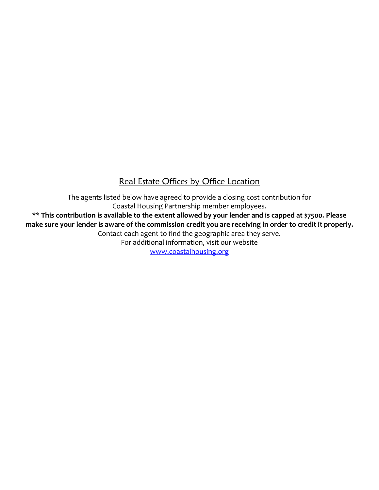# Real Estate Offices by Office Location

The agents listed below have agreed to provide a closing cost contribution for Coastal Housing Partnership member employees. **\*\* This contribution is available to the extent allowed by your lender and is capped at \$7500. Please** make sure your lender is aware of the commission credit you are receiving in order to credit it properly. Contact each agent to find the geographic area they serve. For additional information, visit our website [www.coastalhousing.org](http://www.coastalhousing.org/)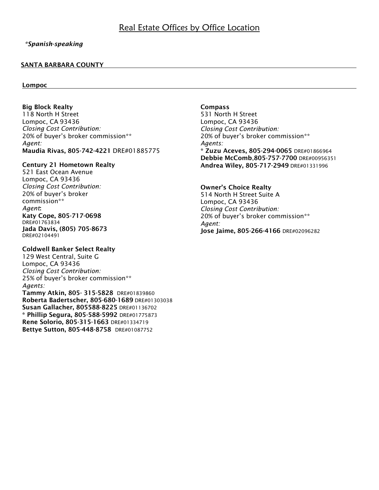# *\*Spanish-speaking*

# SANTA BARBARA COUNTY

## Lompoc

Big Block Realty 118 North H Street Lompoc, CA 93436 *Closing Cost Contribution:* 20% of buyer's broker commission\*\* *Agent:* Maudia Rivas, 805-742-4221 DRE#01885775

# Century 21 Hometown Realty

521 East Ocean Avenue Lompoc, CA 93436 *Closing Cost Contribution:* 20% of buyer's broker commission\*\* *Agent*: Katy Cope, 805-717-0698 DRE#01763834 Jada Davis, (805) 705-8673 DRE#02104491

## Coldwell Banker Select Realty

129 West Central, Suite G Lompoc, CA 93436 *Closing Cost Contribution:* 25% of buyer's broker commission\*\* *Agents:*

Tammy Atkin, 805- 315-5828 DRE#01839860 Roberta Badertscher, 805-680-1689 DRE#01303038 Susan Gallacher, 805588-8225 DRE#01136702 \* Phillip Segura, 805-588-5992 DRE#01775873 Rene Solorio, 805-315-1663 DRE#01334719 Bettye Sutton, 805-448-8758 DRE#01087752

## Compass

531 North H Street Lompoc, CA 93436 *Closing Cost Contribution:* 20% of buyer's broker commission\*\* *Agents:* \* Zuzu Aceves, 805-294-0065 DRE#01866964 Debbie McComb,805-757-7700 DRE#00956351 Andrea Wiley, 805-717-2949 DRE#01331996

# Owner's Choice Realty

514 North H Street Suite A Lompoc, CA 93436 *Closing Cost Contribution:* 20% of buyer's broker commission\*\* *Agent:* Jose Jaime, 805-266-4166 DRE#02096282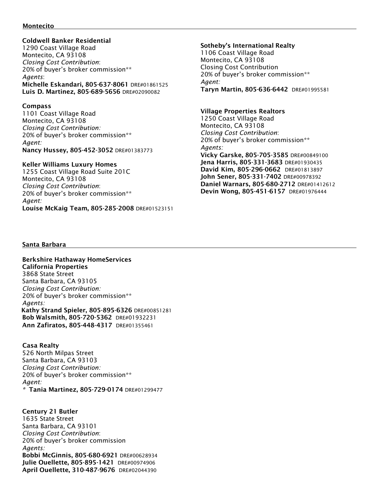#### Montecito

## Coldwell Banker Residential

1290 Coast Village Road Montecito, CA 93108 *Closing Cost Contribution*: 20% of buyer's broker commission\*\* *Agents*: Michelle Eskandari, 805-637-8061 DRE#01861525 Luis D. Martinez, 805-689-5656 DRE#02090082

# Compass

1101 Coast Village Road Montecito, CA 93108 *Closing Cost Contribution:* 20% of buyer's broker commission\*\* *Agent:* Nancy Hussey, 805-452-3052 DRE#01383773

# Keller Williams Luxury Homes

1255 Coast Village Road Suite 201C Montecito, CA 93108 *Closing Cost Contribution*: 20% of buyer's broker commission\*\* *Agent:* Louise McKaig Team, 805-285-2008 DRE#01523151

#### Sotheby's International Realty

1106 Coast Village Road Montecito, CA 93108 Closing Cost Contribution 20% of buyer's broker commission\*\* *Agent:* Taryn Martin, 805-636-6442 DRE#01995581

# Village Properties Realtors

1250 Coast Village Road Montecito, CA 93108 *Closing Cost Contribution*: 20% of buyer's broker commission\*\* *Agents:* Vicky Garske, 805-705-3585 DRE#00849100 Jena Harris, 805-331-3683 DRE#01930435 David Kim, 805-296-0662 DRE#01813897 John Sener, 805-331-7402 DRE#00978392 Daniel Warnars, 805-680-2712 DRE#01412612 Devin Wong, 805-451-6157 DRE#01976444

# Santa Barbara

Berkshire Hathaway HomeServices California Properties 3868 State Street Santa Barbara, CA 93105 *Closing Cost Contribution:* 20% of buyer's broker commission\*\* *Agents:* Kathy Strand Spieler, 805-895-6326 DRE#00851281 Bob Walsmith, 805-720-5362 DRE#01932231 Ann Zafiratos, 805-448-4317 DRE#01355461

 Casa Realty 526 North Milpas Street Santa Barbara, CA 93103 *Closing Cost Contribution:* 20% of buyer's broker commission\*\* *Agent: \** Tania Martinez, 805-729-0174 DRE#01299477

Century 21 Butler 1635 State Street Santa Barbara, CA 93101 *Closing Cost Contribution*: 20% of buyer's broker commission *Agents:* Bobbi McGinnis, 805-680-6921 DRE#00628934 Julie Ouellette, 805-895-1421 DRE#00974906 April Ouellette, 310-487-9676 DRE#02044390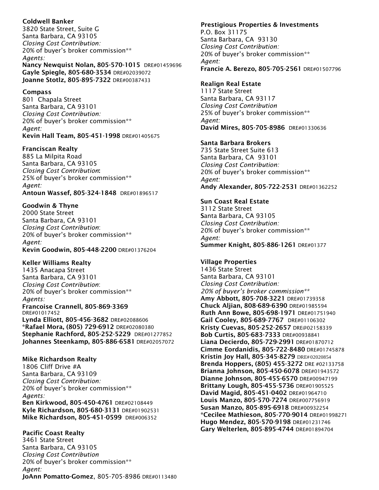# Coldwell Banker

3820 State Street, Suite G Santa Barbara, CA 93105 *Closing Cost Contribution:* 20% of buyer's broker commission\*\* *Agents:* Nancy Newquist Nolan, 805-570-1015 DRE#01459696 Gayle Spiegle, 805-680-3534 DRE#02039072 Joanne Stotlz, 805-895-7322 DRE#00387433

# Compass

801 Chapala Street Santa Barbara, CA 93101 *Closing Cost Contribution:* 20% of buyer's broker commission\*\* *Agent:* Kevin Hall Team, 805-451-1998 DRE#01405675

# Franciscan Realty

885 La Milpita Road Santa Barbara, CA 93105 *Closing Cost Contribution*: 25% of buyer's broker commission\*\* *Agent:* Antoun Wassef, 805-324-1848 DRE#01896517

# Goodwin & Thyne

2000 State Street Santa Barbara, CA 93101 *Closing Cost Contribution*: 20% of buyer's broker commission\*\* *Agent:* Kevin Goodwin, 805-448-2200 DRE#01376204

# Keller Williams Realty

1435 Anacapa Street Santa Barbara, CA 93101 *Closing Cost Contribution*: 20% of buyer's broker commission\*\* *Agents:* Francoise Crannell, 805-869-3369 DRE#01017452 Lynda Elliott, 805-456-3682 DRE#02088606 \*Rafael Mora, (805) 729-6912 DRE#02080380 Stephanie Rachford, 805-252-5229 DRE#01277852 Johannes Steenkamp, 805-886-6581 DRE#02057072

Mike Richardson Realty 1806 Cliff Drive #A Santa Barbara, CA 93109 *Closing Cost Contribution:* 20% of buyer's broker commission\*\* *Agents:* Ben Kirkwood, 805-450-4761 DRE#02108449 Kyle Richardson, 805-680-3131 DRE#01902531 Mike Richardson, 805-451-0599 DRE#006352

Pacific Coast Realty 3461 State Street Santa Barbara, CA 93105 *Closing Cost Contribution* 20% of buyer's broker commission\*\* *Agent:* JoAnn Pomatto-Gomez, 805-705-8986 DRE#0113480

# Prestigious Properties & Investments P.O. Box 31175 Santa Barbara, CA 93130 *Closing Cost Contribution:* 20% of buyer's broker commission\*\* *Agent:* Francie A. Berezo, 805-705-2561 DRE#01507796

# Realign Real Estate

1117 State Street Santa Barbara, CA 93117 *Closing Cost Contribution* 25% of buyer's broker commission\*\* *Agent:* David Mires, 805-705-8986 DRE#01330636

# Santa Barbara Brokers

735 State Street Suite 613 Santa Barbara, CA 93101 *Closing Cost Contribution:* 20% of buyer's broker commission\*\* *Agent:* Andy Alexander, 805-722-2531 DRE#01362252

# Sun Coast Real Estate

3112 State Street Santa Barbara, CA 93105 *Closing Cost Contribution:* 20% of buyer's broker commission\*\* *Agent:* Summer Knight, 805-886-1261 DRE#01377

# Village Properties

1436 State Street Santa Barbara, CA 93101 *Closing Cost Contribution: 20% of buyer's broker commission\*\** Amy Abbott, 805-708-3221 DRE#01739358 Chuck Aljian, 808-689-6390 DRE#01985594 Ruth Ann Bowe, 805-698-1971 DRE#01751940 Gail Cooley, 805-689-7767 DRE#01106302 Kristy Cuevas, 805-252-2657 DRE@02158339 Bob Curtis, 805-683-7333 DRE#00938841 Liana Decierdo, 805-729-2991 DRE#01870712 Cimme Eordanidis, 805-722-8480 DRE#01745878 Kristin Joy Hall, 805-345-8279 DRE#02020854 Brenda Hoppers, (805) 455-3272 DRE #02133758 Brianna Johnson, 805-450-6078 DRE#01943572 Dianne Johnson, 805-455-6570 DRE#00947199 Brittany Lough, 805-455-5736 DRE#01905525 David Magid, 805-451-0402 DRE#01964710 Louis Manzo, 805-570-7274 DRE#007756919 Susan Manzo, 805-895-6918 DRE#00932254 \*Cecilee Mathieson, 805-770-9014 DRE#01998271 Hugo Mendez, 805-570-9198 DRE#01231746 Gary Welterlen, 805-895-4744 DRE#01894704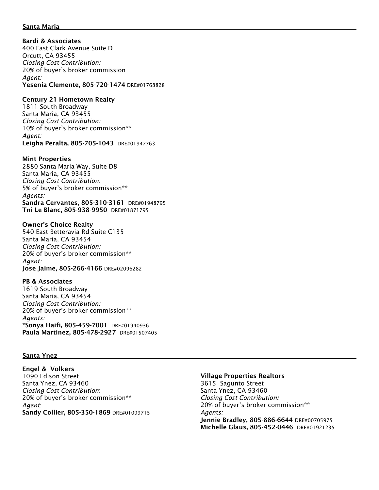## Santa Maria

Bardi & Associates 400 East Clark Avenue Suite D Orcutt, CA 93455 *Closing Cost Contribution:* 20% of buyer's broker commission *Agent:* Yesenia Clemente, 805-720-1474 DRE#01768828

#### Century 21 Hometown Realty

1811 South Broadway Santa Maria, CA 93455 *Closing Cost Contribution:* 10% of buyer's broker commission\*\* *Agent:* Leigha Peralta, 805-705-1043 DRE#01947763

#### Mint Properties

2880 Santa Maria Way, Suite D8 Santa Maria, CA 93455 *Closing Cost Contribution:* 5% of buyer's broker commission\*\* *Agents:* Sandra Cervantes, 805-310-3161 DRE#01948795 Tni Le Blanc, 805-938-9950 DRE#01871795

#### Owner's Choice Realty

540 East Betteravia Rd Suite C135 Santa Maria, CA 93454 *Closing Cost Contribution:* 20% of buyer's broker commission\*\* *Agent:* Jose Jaime, 805-266-4166 DRE#02096282

#### PB & Associates

1619 South Broadway Santa Maria, CA 93454 *Closing Cost Contribution:* 20% of buyer's broker commission\*\* *Agents:* \*Sonya Haifi, 805-459-7001 DRE#01940936 Paula Martinez, 805-478-2927 DRE#01507405

#### Santa Ynez

Engel & Volkers 1090 Edison Street Santa Ynez, CA 93460 *Closing Cost Contribution*: 20% of buyer's broker commission\*\* *Agent*: Sandy Collier, 805-350-1869 DRE#01099715

# Village Properties Realtors

3615 Sagunto Street Santa Ynez, CA 93460 *Closing Cost Contribution:* 20% of buyer's broker commission\*\* *Agents:* Jennie Bradley, 805-886-6644 DRE#00705975 Michelle Glaus, 805-452-0446 DRE#01921235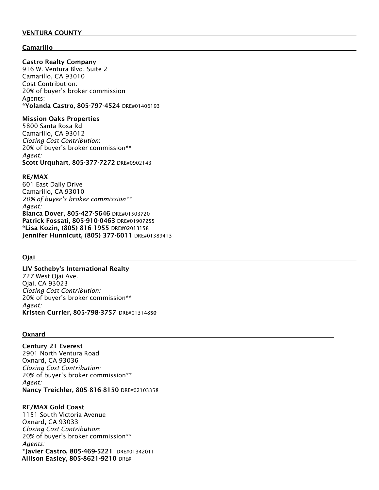# VENTURA COUNTY

# Camarillo

## Castro Realty Company

916 W. Ventura Blvd, Suite 2 Camarillo, CA 93010 Cost Contribution: 20% of buyer's broker commission Agents: \*Yolanda Castro, 805-797-4524 DRE#01406193

# Mission Oaks Properties

5800 Santa Rosa Rd Camarillo, CA 93012 *Closing Cost Contribution*: 20% of buyer's broker commission\*\* *Agent:* Scott Urquhart, 805-377-7272 DRE#0902143

## RE/MAX

601 East Daily Drive Camarillo, CA 93010 *20% of buyer's broker commission\*\* Agent:* Blanca Dover, 805-427-5646 DRE#01503720 Patrick Fossati, 805-910-0463 DRE#01907255 \*Lisa Kozin, (805) 816-1955 DRE#02013158 Jennifer Hunnicutt, (805) 377-6011 DRE#01389413

## Ojai

LIV Sotheby's International Realty 727 West Ojai Ave. Ojai, CA 93023 *Closing Cost Contribution:* 20% of buyer's broker commission\*\* *Agent:* Kristen Currier, 805-798-3757 DRE#01314850

#### Oxnard

Century 21 Everest 2901 North Ventura Road Oxnard, CA 93036 *Closing Cost Contribution:* 20% of buyer's broker commission\*\* *Agent:* Nancy Treichler, 805-816-8150 DRE#02103358

## RE/MAX Gold Coast

1151 South Victoria Avenue Oxnard, CA 93033 *Closing Cost Contribution*: 20% of buyer's broker commission\*\* *Agents:* \*Javier Castro, 805-469-5221 DRE#01342011 Allison Easley, 805-8621-9210 DRE#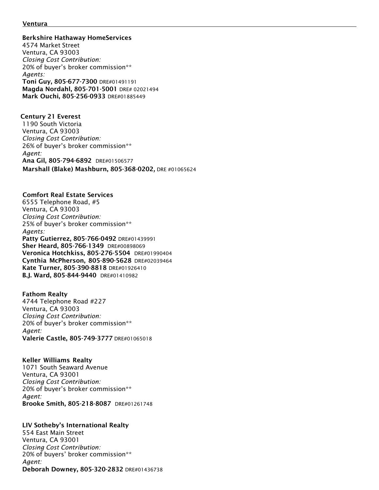#### <u>Ventura</u>

Berkshire Hathaway HomeServices

4574 Market Street Ventura, CA 93003 *Closing Cost Contribution:* 20% of buyer's broker commission\*\* *Agents:* Toni Guy, 805-677-7300 DRE#01491191 Magda Nordahl, 805-701-5001 DRE# 02021494 Mark Ouchi, 805-256-0933 DRE#01885449

Century 21 Everest 1190 South Victoria Ventura, CA 93003 *Closing Cost Contribution:* 26% of buyer's broker commission\*\* *Agent:* Ana Gil, 805-794-6892 DRE#01506577 Marshall (Blake) Mashburn, 805-368-0202, DRE #01065624

## Comfort Real Estate Services

6555 Telephone Road, #5 Ventura, CA 93003 *Closing Cost Contribution:* 25% of buyer's broker commission\*\* *Agents:* Patty Gutierrez, 805-766-0492 DRE#01439991 Sher Heard, 805-766-1349 DRE#00898069 Veronica Hotchkiss, 805-276-5504 DRE#01990404 Cynthia McPherson, 805-890-5628 DRE#02039464 Kate Turner, 805-390-8818 DRE#01926410 B.J. Ward, 805-844-9440 DRE#01410982

Fathom Realty

4744 Telephone Road #227 Ventura, CA 93003 *Closing Cost Contribution:* 20% of buyer's broker commission\*\* *Agent:* Valerie Castle, 805-749-3777 DRE#01065018

Keller Williams Realty

1071 South Seaward Avenue Ventura, CA 93001 *Closing Cost Contribution:* 20% of buyer's broker commission\*\* *Agent:* Brooke Smith, 805-218-8087 DRE#01261748

# LIV Sotheby's International Realty

554 East Main Street Ventura, CA 93001 *Closing Cost Contribution:* 20% of buyers' broker commission\*\* *Agent:* Deborah Downey, 805-320-2832 DRE#01436738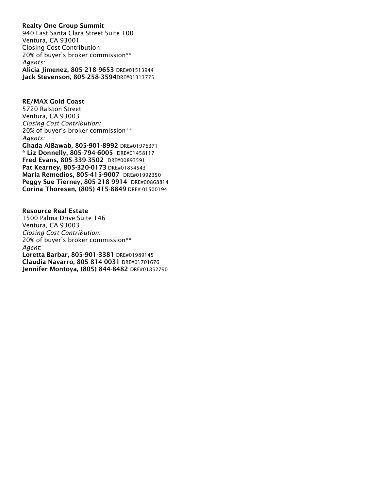# Realty One Group Summit 940 East Santa Clara Street Suite 100 Ventura, CA 93001 Closing Cost Contribution: 20% of buyer's broker commission\*\* *Agents:* Alicia Jimenez, 805-218-9653 DRE#01513944 Jack Stevenson, 805-258-3594DRE#01313775

RE/MAX Gold Coast 5720 Ralston Street Ventura, CA 93003 *Closing Cost Contribution:* 20% of buyer's broker commission\*\* *Agents:* Ghada AlBawab, 805-901-8992 DRE#01976371 \* Liz Donnelly, 805-794-6005 DRE#01458117 Fred Evans, 805-339-3502 DRE#00893591 Pat Kearney, 805-320-0173 DRE#01854543 Marla Remedios, 805-415-9007 DRE#01992350 Peggy Sue Tierney, 805-218-9914 DRE#00868814 Corina Thoresen, (805) 415-8849 DRE# 01500194

Resource Real Estate 1500 Palma Drive Suite 146 Ventura, CA 93003 *Closing Cost Contribution:* 20% of buyer's broker commission\*\* *Agent*: Loretta Barbar, 805-901-3381 DRE#01989145 Claudia Navarro, 805-814-0031 DRE#01701676 Jennifer Montoya, (805) 844-8482 DRE#01852790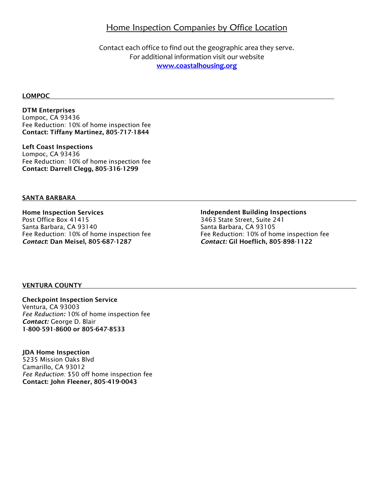# **Home Inspection Companies by Office Location**

Contact each office to find out the geographic area they serve. For additional information visit our website **[www.coastalhousing.org](http://www.coastalhousing.org/)**

#### LOMPOC

DTM Enterprises Lompoc, CA 93436 Fee Reduction: 10% of home inspection fee Contact: Tiffany Martinez, 805-717-1844

Left Coast Inspections Lompoc, CA 93436 Fee Reduction: 10% of home inspection fee Contact: Darrell Clegg, 805-316-1299

## SANTA BARBARA

Home Inspection Services Post Office Box 41415 Santa Barbara, CA 93140 Fee Reduction: 10% of home inspection fee *Contact*: Dan Meisel, 805-687-1287

# Independent Building Inspections

3463 State Street, Suite 241 Santa Barbara, CA 93105 Fee Reduction: 10% of home inspection fee *Contact:* Gil Hoeflich, 805-898-1122

## VENTURA COUNTY

Checkpoint Inspection Service Ventura, CA 93003 *Fee Reduction:* 10% of home inspection fee *Contact:* George D. Blair 1-800-591-8600 or 805-647-8533

JDA Home Inspection 5235 Mission Oaks Blvd Camarillo, CA 93012  *Fee Reduction:* \$50 off home inspection fee Contact: John Fleener, 805-419-0043